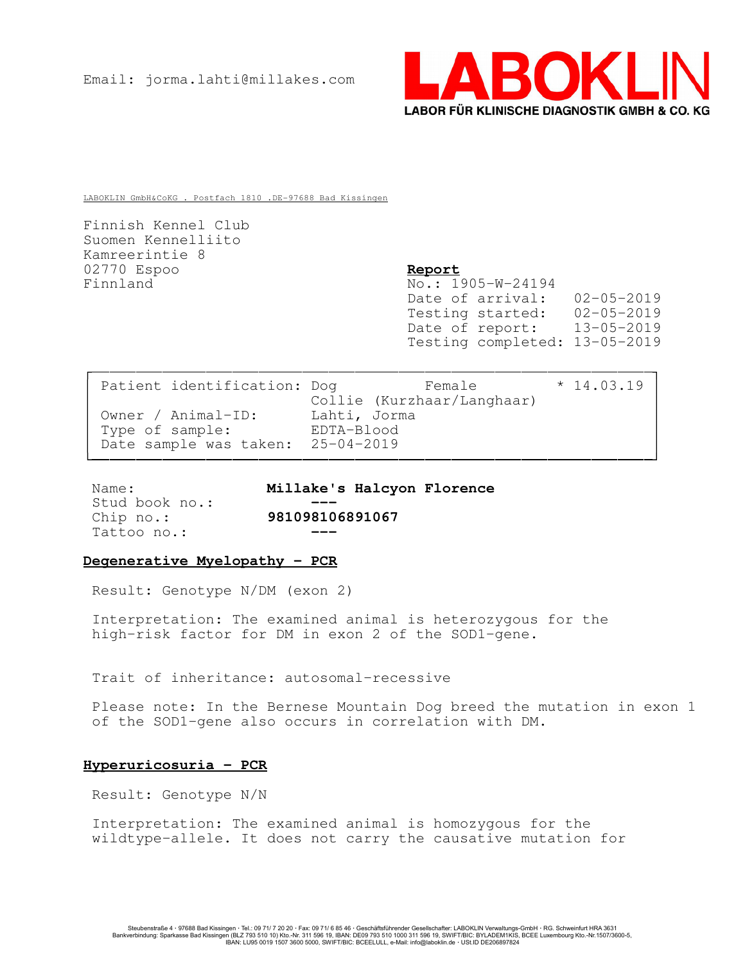

LABOKLIN GmbH&CoKG . Postfach 1810 .DE-97688 Bad Kissingen

Finnish Kennel Club Suomen Kennelliito Kamreerintie 8 02770 Espoo Report Finnland No.: 1905-W-24194

Date of arrival: 02-05-2019<br>Testing started: 02-05-2019 Testing started: Date of report: 13-05-2019 Testing completed: 13-05-2019

| Patient identification: Dog       | Female<br>Collie (Kurzhaar/Langhaar) | $*14.03.19$ |
|-----------------------------------|--------------------------------------|-------------|
| Owner / Animal-ID:                | Lahti, Jorma                         |             |
| Type of sample:                   | EDTA-Blood                           |             |
| Date sample was taken: 25-04-2019 |                                      |             |

Stud book no.: Tattoo no.:

Name: Millake's Halcyon Florence Chip no.: 981098106891067

# Degenerative Myelopathy - PCR

Result: Genotype N/DM (exon 2)

Interpretation: The examined animal is heterozygous for the high-risk factor for DM in exon 2 of the SOD1-gene.

Trait of inheritance: autosomal-recessive

Please note: In the Bernese Mountain Dog breed the mutation in exon 1 of the SOD1-gene also occurs in correlation with DM.

# Hyperuricosuria - PCR

Result: Genotype N/N

Interpretation: The examined animal is homozygous for the wildtype-allele. It does not carry the causative mutation for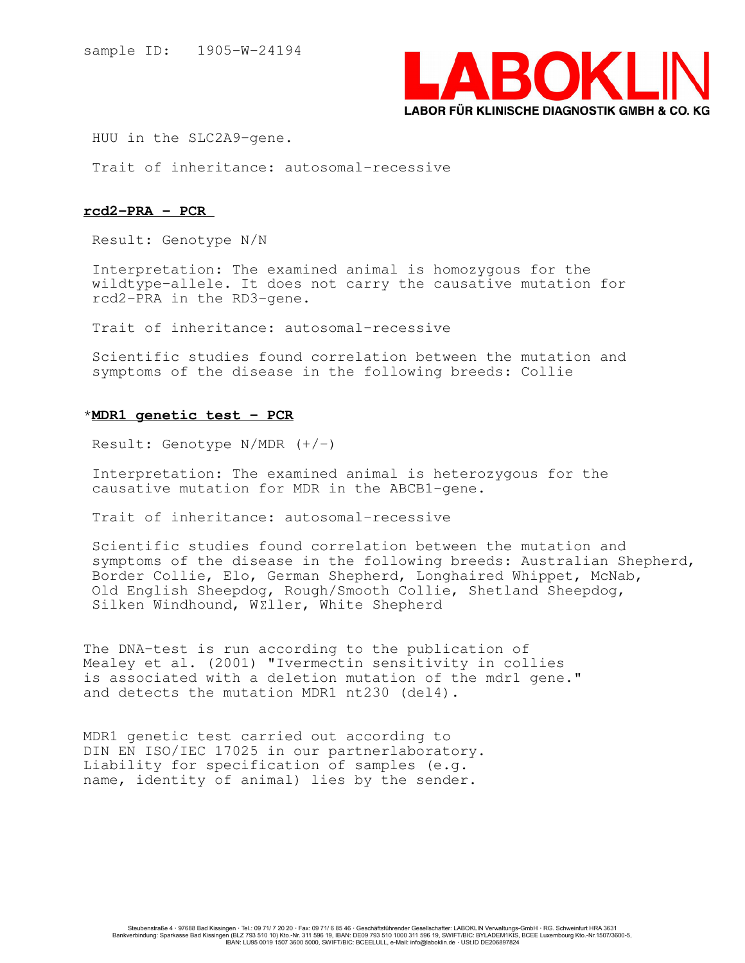

HUU in the SLC2A9-gene.

Trait of inheritance: autosomal-recessive

### rcd2-PRA - PCR

Result: Genotype N/N

Interpretation: The examined animal is homozygous for the wildtype-allele. It does not carry the causative mutation for rcd2-PRA in the RD3-gene.

Trait of inheritance: autosomal-recessive

Scientific studies found correlation between the mutation and symptoms of the disease in the following breeds: Collie

### \*MDR1 genetic test - PCR

Result: Genotype  $N/MDR$   $(+/-)$ 

Interpretation: The examined animal is heterozygous for the causative mutation for MDR in the ABCB1-gene.

Trait of inheritance: autosomal-recessive

Scientific studies found correlation between the mutation and symptoms of the disease in the following breeds: Australian Shepherd, Border Collie, Elo, German Shepherd, Longhaired Whippet, McNab, Old English Sheepdog, Rough/Smooth Collie, Shetland Sheepdog, Silken Windhound, W£ller, White Shepherd

The DNA-test is run according to the publication of Mealey et al. (2001) "Ivermectin sensitivity in collies is associated with a deletion mutation of the mdr1 gene." and detects the mutation MDR1 nt230 (del4).

MDR1 genetic test carried out according to DIN EN ISO/IEC 17025 in our partnerlaboratory. Liability for specification of samples (e.g. name, identity of animal) lies by the sender.